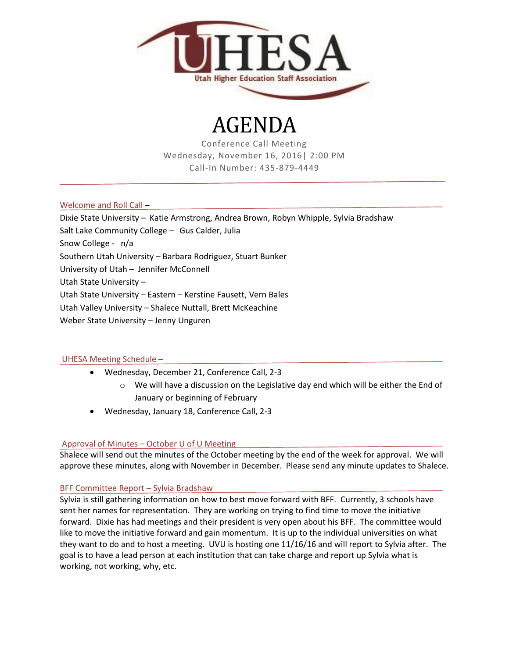

# AGENDA

Conference Call Meeting Wednesday, November 16, 2016| 2:00 PM Call-In Number: 435-879-4449

Welcome and Roll Call –

- Dixie State University Katie Armstrong, Andrea Brown, Robyn Whipple, Sylvia Bradshaw
- Salt Lake Community College Gus Calder, Julia

Snow College - n/a

Southern Utah University – Barbara Rodriguez, Stuart Bunker

University of Utah – Jennifer McConnell

Utah State University –

Utah State University – Eastern – Kerstine Fausett, Vern Bales

Utah Valley University – Shalece Nuttall, Brett McKeachine

Weber State University – Jenny Unguren

## UHESA Meeting Schedule –

- Wednesday, December 21, Conference Call, 2-3
	- $\circ$  We will have a discussion on the Legislative day end which will be either the End of January or beginning of February
- Wednesday, January 18, Conference Call, 2-3

## Approval of Minutes – October U of U Meeting

Shalece will send out the minutes of the October meeting by the end of the week for approval. We will approve these minutes, along with November in December. Please send any minute updates to Shalece.

## BFF Committee Report – Sylvia Bradshaw

Sylvia is still gathering information on how to best move forward with BFF. Currently, 3 schools have sent her names for representation. They are working on trying to find time to move the initiative forward. Dixie has had meetings and their president is very open about his BFF. The committee would like to move the initiative forward and gain momentum. It is up to the individual universities on what they want to do and to host a meeting. UVU is hosting one 11/16/16 and will report to Sylvia after. The goal is to have a lead person at each institution that can take charge and report up Sylvia what is working, not working, why, etc.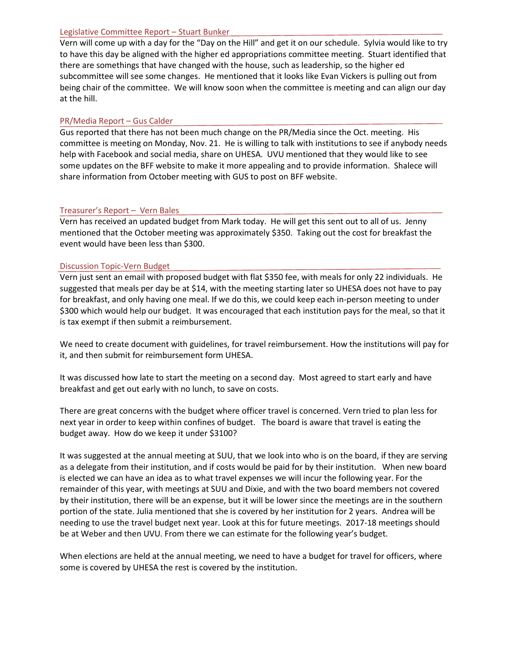#### Legislative Committee Report – Stuart Bunker

Vern will come up with a day for the "Day on the Hill" and get it on our schedule. Sylvia would like to try to have this day be aligned with the higher ed appropriations committee meeting. Stuart identified that there are somethings that have changed with the house, such as leadership, so the higher ed subcommittee will see some changes. He mentioned that it looks like Evan Vickers is pulling out from being chair of the committee. We will know soon when the committee is meeting and can align our day at the hill.

## PR/Media Report – Gus Calder

Gus reported that there has not been much change on the PR/Media since the Oct. meeting. His committee is meeting on Monday, Nov. 21. He is willing to talk with institutions to see if anybody needs help with Facebook and social media, share on UHESA. UVU mentioned that they would like to see some updates on the BFF website to make it more appealing and to provide information. Shalece will share information from October meeting with GUS to post on BFF website.

## Treasurer's Report – Vern Bales

Vern has received an updated budget from Mark today. He will get this sent out to all of us. Jenny mentioned that the October meeting was approximately \$350. Taking out the cost for breakfast the event would have been less than \$300.

#### Discussion Topic-Vern Budget

Vern just sent an email with proposed budget with flat \$350 fee, with meals for only 22 individuals. He suggested that meals per day be at \$14, with the meeting starting later so UHESA does not have to pay for breakfast, and only having one meal. If we do this, we could keep each in-person meeting to under \$300 which would help our budget. It was encouraged that each institution pays for the meal, so that it is tax exempt if then submit a reimbursement.

We need to create document with guidelines, for travel reimbursement. How the institutions will pay for it, and then submit for reimbursement form UHESA.

It was discussed how late to start the meeting on a second day. Most agreed to start early and have breakfast and get out early with no lunch, to save on costs.

There are great concerns with the budget where officer travel is concerned. Vern tried to plan less for next year in order to keep within confines of budget. The board is aware that travel is eating the budget away. How do we keep it under \$3100?

It was suggested at the annual meeting at SUU, that we look into who is on the board, if they are serving as a delegate from their institution, and if costs would be paid for by their institution. When new board is elected we can have an idea as to what travel expenses we will incur the following year. For the remainder of this year, with meetings at SUU and Dixie, and with the two board members not covered by their institution, there will be an expense, but it will be lower since the meetings are in the southern portion of the state. Julia mentioned that she is covered by her institution for 2 years. Andrea will be needing to use the travel budget next year. Look at this for future meetings. 2017-18 meetings should be at Weber and then UVU. From there we can estimate for the following year's budget.

When elections are held at the annual meeting, we need to have a budget for travel for officers, where some is covered by UHESA the rest is covered by the institution.